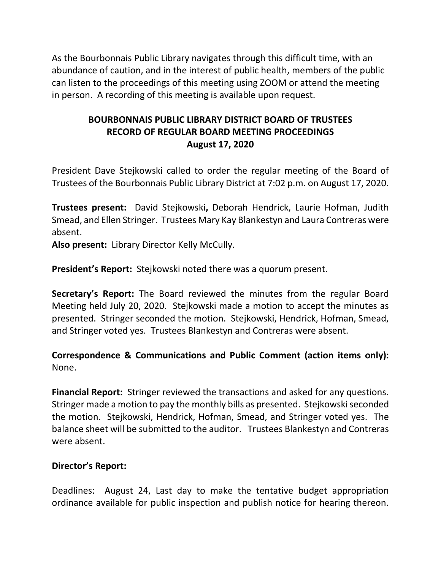As the Bourbonnais Public Library navigates through this difficult time, with an abundance of caution, and in the interest of public health, members of the public can listen to the proceedings of this meeting using ZOOM or attend the meeting in person. A recording of this meeting is available upon request.

# **BOURBONNAIS PUBLIC LIBRARY DISTRICT BOARD OF TRUSTEES RECORD OF REGULAR BOARD MEETING PROCEEDINGS August 17, 2020**

President Dave Stejkowski called to order the regular meeting of the Board of Trustees of the Bourbonnais Public Library District at 7:02 p.m. on August 17, 2020.

**Trustees present:** David Stejkowski**,** Deborah Hendrick, Laurie Hofman, Judith Smead, and Ellen Stringer. Trustees Mary Kay Blankestyn and Laura Contreras were absent.

**Also present:** Library Director Kelly McCully.

**President's Report:** Stejkowski noted there was a quorum present.

**Secretary's Report:** The Board reviewed the minutes from the regular Board Meeting held July 20, 2020. Stejkowski made a motion to accept the minutes as presented. Stringer seconded the motion. Stejkowski, Hendrick, Hofman, Smead, and Stringer voted yes. Trustees Blankestyn and Contreras were absent.

## **Correspondence & Communications and Public Comment (action items only):**  None.

**Financial Report:** Stringer reviewed the transactions and asked for any questions. Stringer made a motion to pay the monthly bills as presented. Stejkowski seconded the motion. Stejkowski, Hendrick, Hofman, Smead, and Stringer voted yes. The balance sheet will be submitted to the auditor. Trustees Blankestyn and Contreras were absent.

### **Director's Report:**

Deadlines: August 24, Last day to make the tentative budget appropriation ordinance available for public inspection and publish notice for hearing thereon.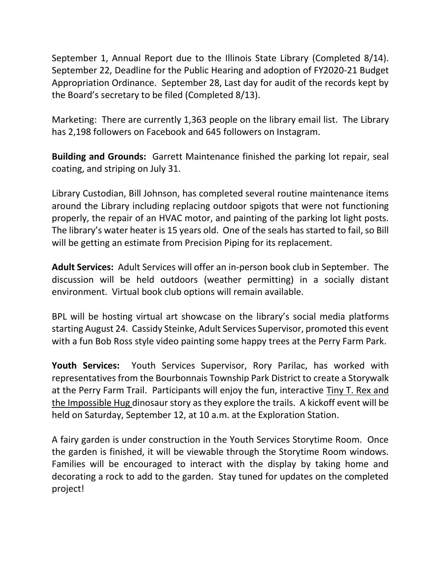September 1, Annual Report due to the Illinois State Library (Completed 8/14). September 22, Deadline for the Public Hearing and adoption of FY2020-21 Budget Appropriation Ordinance. September 28, Last day for audit of the records kept by the Board's secretary to be filed (Completed 8/13).

Marketing: There are currently 1,363 people on the library email list. The Library has 2,198 followers on Facebook and 645 followers on Instagram.

**Building and Grounds:** Garrett Maintenance finished the parking lot repair, seal coating, and striping on July 31.

Library Custodian, Bill Johnson, has completed several routine maintenance items around the Library including replacing outdoor spigots that were not functioning properly, the repair of an HVAC motor, and painting of the parking lot light posts. The library's water heater is 15 years old. One of the seals has started to fail, so Bill will be getting an estimate from Precision Piping for its replacement.

**Adult Services:** Adult Services will offer an in-person book club in September. The discussion will be held outdoors (weather permitting) in a socially distant environment. Virtual book club options will remain available.

BPL will be hosting virtual art showcase on the library's social media platforms starting August 24. Cassidy Steinke, Adult Services Supervisor, promoted this event with a fun Bob Ross style video painting some happy trees at the Perry Farm Park.

**Youth Services:** Youth Services Supervisor, Rory Parilac, has worked with representatives from the Bourbonnais Township Park District to create a Storywalk at the Perry Farm Trail. Participants will enjoy the fun, interactive Tiny T. Rex and the Impossible Hug dinosaur story as they explore the trails. A kickoff event will be held on Saturday, September 12, at 10 a.m. at the Exploration Station.

A fairy garden is under construction in the Youth Services Storytime Room. Once the garden is finished, it will be viewable through the Storytime Room windows. Families will be encouraged to interact with the display by taking home and decorating a rock to add to the garden. Stay tuned for updates on the completed project!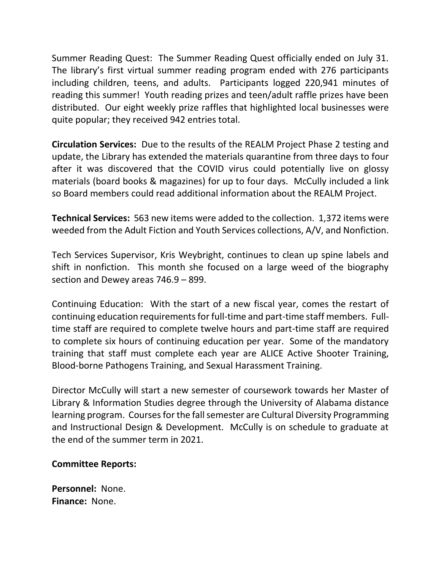Summer Reading Quest: The Summer Reading Quest officially ended on July 31. The library's first virtual summer reading program ended with 276 participants including children, teens, and adults. Participants logged 220,941 minutes of reading this summer! Youth reading prizes and teen/adult raffle prizes have been distributed. Our eight weekly prize raffles that highlighted local businesses were quite popular; they received 942 entries total.

**Circulation Services:** Due to the results of the REALM Project Phase 2 testing and update, the Library has extended the materials quarantine from three days to four after it was discovered that the COVID virus could potentially live on glossy materials (board books & magazines) for up to four days. McCully included a link so Board members could read additional information about the REALM Project.

**Technical Services:** 563 new items were added to the collection. 1,372 items were weeded from the Adult Fiction and Youth Services collections, A/V, and Nonfiction.

Tech Services Supervisor, Kris Weybright, continues to clean up spine labels and shift in nonfiction. This month she focused on a large weed of the biography section and Dewey areas 746.9 – 899.

Continuing Education: With the start of a new fiscal year, comes the restart of continuing education requirements for full-time and part-time staff members. Fulltime staff are required to complete twelve hours and part-time staff are required to complete six hours of continuing education per year. Some of the mandatory training that staff must complete each year are ALICE Active Shooter Training, Blood-borne Pathogens Training, and Sexual Harassment Training.

Director McCully will start a new semester of coursework towards her Master of Library & Information Studies degree through the University of Alabama distance learning program. Courses for the fall semester are Cultural Diversity Programming and Instructional Design & Development. McCully is on schedule to graduate at the end of the summer term in 2021.

#### **Committee Reports:**

**Personnel:** None. **Finance:** None.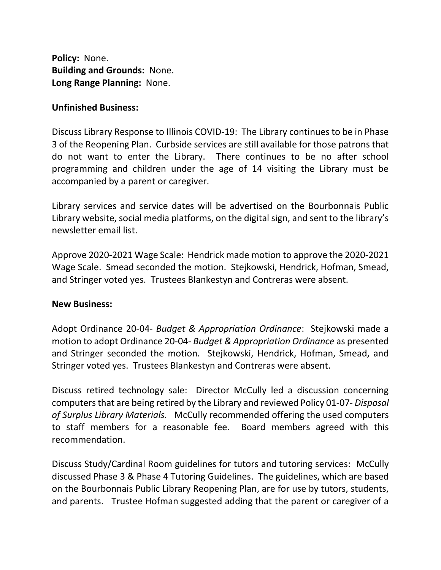**Policy:** None. **Building and Grounds:** None. **Long Range Planning:** None.

#### **Unfinished Business:**

Discuss Library Response to Illinois COVID-19: The Library continues to be in Phase 3 of the Reopening Plan. Curbside services are still available for those patrons that do not want to enter the Library. There continues to be no after school programming and children under the age of 14 visiting the Library must be accompanied by a parent or caregiver.

Library services and service dates will be advertised on the Bourbonnais Public Library website, social media platforms, on the digital sign, and sent to the library's newsletter email list.

Approve 2020-2021 Wage Scale: Hendrick made motion to approve the 2020-2021 Wage Scale. Smead seconded the motion. Stejkowski, Hendrick, Hofman, Smead, and Stringer voted yes. Trustees Blankestyn and Contreras were absent.

#### **New Business:**

Adopt Ordinance 20-04- *Budget & Appropriation Ordinance*: Stejkowski made a motion to adopt Ordinance 20-04- *Budget & Appropriation Ordinance* as presented and Stringer seconded the motion. Stejkowski, Hendrick, Hofman, Smead, and Stringer voted yes. Trustees Blankestyn and Contreras were absent.

Discuss retired technology sale: Director McCully led a discussion concerning computers that are being retired by the Library and reviewed Policy 01-07- *Disposal of Surplus Library Materials.* McCully recommended offering the used computers to staff members for a reasonable fee. Board members agreed with this recommendation.

Discuss Study/Cardinal Room guidelines for tutors and tutoring services: McCully discussed Phase 3 & Phase 4 Tutoring Guidelines. The guidelines, which are based on the Bourbonnais Public Library Reopening Plan, are for use by tutors, students, and parents. Trustee Hofman suggested adding that the parent or caregiver of a